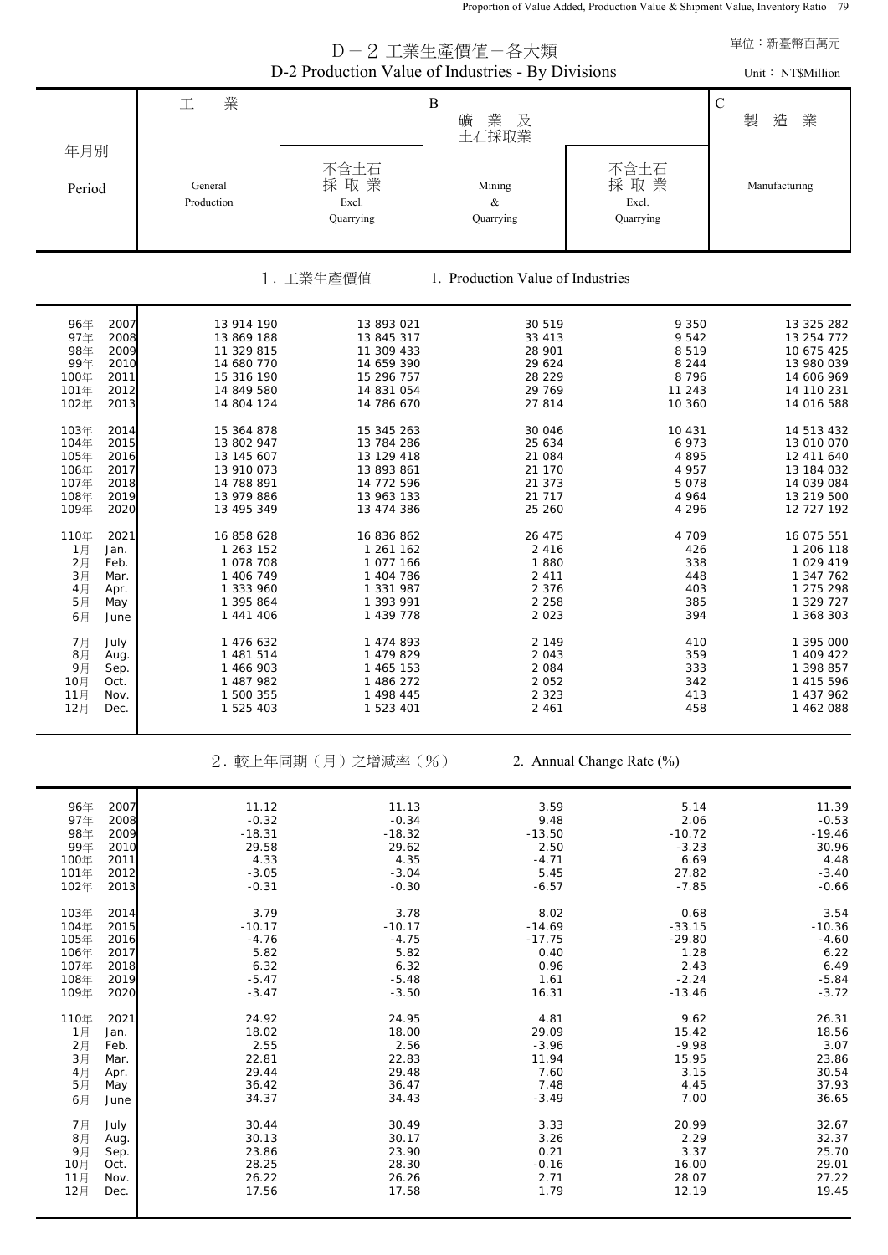Proportion of Value Added, Production Value & Shipment Value, Inventory Ratio 79

|                                                                                                              | 單位:新臺幣百萬元<br>Unit: NT\$Million                                                                 |                                                                                                |                                                                       |                                                                     |                                                                                                |  |  |  |  |  |  |
|--------------------------------------------------------------------------------------------------------------|------------------------------------------------------------------------------------------------|------------------------------------------------------------------------------------------------|-----------------------------------------------------------------------|---------------------------------------------------------------------|------------------------------------------------------------------------------------------------|--|--|--|--|--|--|
|                                                                                                              | 業<br>工                                                                                         |                                                                                                | $\, {\bf B}$<br>業<br>及<br>礦<br>土石採取業                                  |                                                                     | $\mathbf C$<br>製<br>造<br>業                                                                     |  |  |  |  |  |  |
| 年月別<br>Period                                                                                                | General<br>Production                                                                          | 不含土石<br>採取業<br>Excl.<br>Quarrying                                                              | Mining<br>$\&$<br>Quarrying                                           | 不含土石<br>採取業<br>Excl.<br>Quarrying                                   | Manufacturing                                                                                  |  |  |  |  |  |  |
| 1. Production Value of Industries<br>1. 工業生產價值                                                               |                                                                                                |                                                                                                |                                                                       |                                                                     |                                                                                                |  |  |  |  |  |  |
| 2007<br>96年<br>97年<br>2008<br>98年<br>2009<br>99年<br>2010<br>100年<br>2011<br>101年<br>2012<br>102年<br>2013     | 13 914 190<br>13 869 188<br>11 329 815<br>14 680 770<br>15 316 190<br>14 849 580<br>14 804 124 | 13 893 021<br>13 845 317<br>11 309 433<br>14 659 390<br>15 296 757<br>14 831 054<br>14 786 670 | 30 519<br>33 413<br>28 901<br>29 624<br>28 229<br>29 769<br>27 814    | 9 3 5 0<br>9542<br>8519<br>8 2 4 4<br>8 7 9 6<br>11 243<br>10 360   | 13 325 282<br>13 254 772<br>10 675 425<br>13 980 039<br>14 606 969<br>14 110 231<br>14 016 588 |  |  |  |  |  |  |
| 103年<br>2014<br>104年<br>2015<br>105年<br>2016<br>106年<br>2017<br>107年<br>2018<br>108年<br>2019<br>109年<br>2020 | 15 364 878<br>13 802 947<br>13 145 607<br>13 910 073<br>14 788 891<br>13 979 886<br>13 495 349 | 15 345 263<br>13 784 286<br>13 129 418<br>13 893 861<br>14 772 596<br>13 963 133<br>13 474 386 | 30 046<br>25 634<br>21 084<br>21 170<br>21 373<br>21 717<br>25 260    | 10 431<br>6 9 7 3<br>4895<br>4 9 5 7<br>5078<br>4 9 6 4<br>4 2 9 6  | 14 513 432<br>13 010 070<br>12 411 640<br>13 184 032<br>14 039 084<br>13 219 500<br>12 727 192 |  |  |  |  |  |  |
| 110年<br>2021<br>1月<br>Jan.<br>2月<br>Feb.<br>3月<br>Mar.<br>4月<br>Apr.<br>5月<br>May<br>6月<br>June              | 16 858 628<br>1 263 152<br>1 078 708<br>1 406 749<br>1 333 960<br>1 395 864<br>1 441 406       | 16 836 862<br>1 261 162<br>1 077 166<br>1 404 786<br>1 331 987<br>1 393 991<br>1 439 778       | 26 475<br>2 4 1 6<br>1880<br>2 4 1 1<br>2 3 7 6<br>2 2 5 8<br>2 0 2 3 | 4 709<br>426<br>338<br>448<br>403<br>385<br>394                     | 16 075 551<br>1 206 118<br>1 029 419<br>1 347 762<br>1 275 298<br>1 329 727<br>1 368 303       |  |  |  |  |  |  |
| 7月<br>July<br>8月<br>Aug.<br>9月<br>Sep.<br>10月<br>Oct.<br>11月<br>Nov.<br>12月<br>Dec.                          | 1 476 632<br>1 481 514<br>1 466 903<br>1 487 982<br>1 500 355<br>1 525 403                     | 1 474 893<br>1 479 829<br>1 465 153<br>1 486 272<br>1 498 445<br>1 523 401                     | 2 1 4 9<br>2 0 4 3<br>2 0 8 4<br>2 0 5 2<br>2 3 2 3<br>2 4 6 1        | 410<br>359<br>333<br>342<br>413<br>458                              | 1 395 000<br>1 409 422<br>1 398 857<br>1 415 596<br>1 437 962<br>1 462 088                     |  |  |  |  |  |  |
|                                                                                                              |                                                                                                | 2. 較上年同期(月)之增減率(%)                                                                             |                                                                       | 2. Annual Change Rate (%)                                           |                                                                                                |  |  |  |  |  |  |
| 96年<br>2007<br>97年<br>2008<br>98年<br>2009<br>99年<br>2010<br>100年<br>2011<br>101年<br>2012<br>102年<br>2013     | 11.12<br>$-0.32$<br>$-18.31$<br>29.58<br>4.33<br>$-3.05$<br>$-0.31$                            | 11.13<br>$-0.34$<br>$-18.32$<br>29.62<br>4.35<br>$-3.04$<br>$-0.30$                            | 3.59<br>9.48<br>$-13.50$<br>2.50<br>$-4.71$<br>5.45<br>$-6.57$        | 5.14<br>2.06<br>$-10.72$<br>$-3.23$<br>6.69<br>27.82<br>$-7.85$     | 11.39<br>$-0.53$<br>$-19.46$<br>30.96<br>4.48<br>$-3.40$<br>$-0.66$                            |  |  |  |  |  |  |
| 103年<br>2014<br>104年<br>2015<br>105年<br>2016<br>106年<br>2017<br>107年<br>2018<br>108年<br>2019<br>109年<br>2020 | 3.79<br>$-10.17$<br>$-4.76$<br>5.82<br>6.32<br>$-5.47$<br>$-3.47$                              | 3.78<br>$-10.17$<br>$-4.75$<br>5.82<br>6.32<br>$-5.48$<br>$-3.50$                              | 8.02<br>$-14.69$<br>$-17.75$<br>0.40<br>0.96<br>1.61<br>16.31         | 0.68<br>$-33.15$<br>$-29.80$<br>1.28<br>2.43<br>$-2.24$<br>$-13.46$ | 3.54<br>$-10.36$<br>$-4.60$<br>6.22<br>6.49<br>$-5.84$<br>$-3.72$                              |  |  |  |  |  |  |
| 110年<br>2021<br>1月<br>Jan.<br>2月<br>Feb.<br>3月<br>Mar.<br>4月<br>Apr.<br>5月<br>May<br>6月<br>June              | 24.92<br>18.02<br>2.55<br>22.81<br>29.44<br>36.42<br>34.37                                     | 24.95<br>18.00<br>2.56<br>22.83<br>29.48<br>36.47<br>34.43                                     | 4.81<br>29.09<br>$-3.96$<br>11.94<br>7.60<br>7.48<br>$-3.49$          | 9.62<br>15.42<br>$-9.98$<br>15.95<br>3.15<br>4.45<br>7.00           | 26.31<br>18.56<br>3.07<br>23.86<br>30.54<br>37.93<br>36.65                                     |  |  |  |  |  |  |
| 7月<br>July<br>8月<br>Aug.<br>9月<br>Sep.<br>10月<br>Oct.<br>11月<br>Nov.<br>12月<br>Dec.                          | 30.44<br>30.13<br>23.86<br>28.25<br>26.22<br>17.56                                             | 30.49<br>30.17<br>23.90<br>28.30<br>26.26<br>17.58                                             | 3.33<br>3.26<br>0.21<br>$-0.16$<br>2.71<br>1.79                       | 20.99<br>2.29<br>3.37<br>16.00<br>28.07<br>12.19                    | 32.67<br>32.37<br>25.70<br>29.01<br>27.22<br>19.45                                             |  |  |  |  |  |  |